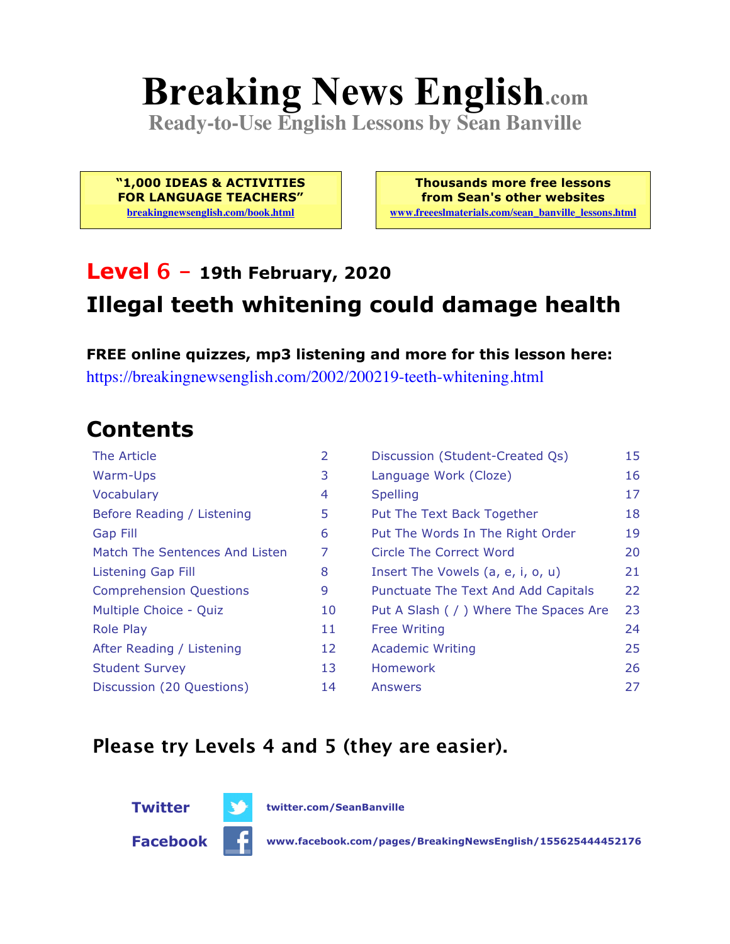# **Breaking News English.com**

**Ready-to-Use English Lessons by Sean Banville**

**"1,000 IDEAS & ACTIVITIES FOR LANGUAGE TEACHERS" breakingnewsenglish.com/book.html**

**Thousands more free lessons from Sean's other websites www.freeeslmaterials.com/sean\_banville\_lessons.html**

### **Level 6 - 19th February, 2020 Illegal teeth whitening could damage health**

**FREE online quizzes, mp3 listening and more for this lesson here:** https://breakingnewsenglish.com/2002/200219-teeth-whitening.html

#### **Contents**

| The Article                    | 2  | Discussion (Student-Created Qs)        | 15 |
|--------------------------------|----|----------------------------------------|----|
| Warm-Ups                       | 3  | Language Work (Cloze)                  | 16 |
| Vocabulary                     | 4  | <b>Spelling</b>                        | 17 |
| Before Reading / Listening     | 5  | Put The Text Back Together             | 18 |
| <b>Gap Fill</b>                | 6  | Put The Words In The Right Order       | 19 |
| Match The Sentences And Listen | 7  | Circle The Correct Word                | 20 |
| Listening Gap Fill             | 8  | Insert The Vowels (a, e, i, o, u)      | 21 |
| <b>Comprehension Questions</b> | 9  | Punctuate The Text And Add Capitals    | 22 |
| Multiple Choice - Quiz         | 10 | Put A Slash ( / ) Where The Spaces Are | 23 |
| <b>Role Play</b>               | 11 | <b>Free Writing</b>                    | 24 |
| After Reading / Listening      | 12 | <b>Academic Writing</b>                | 25 |
| <b>Student Survey</b>          | 13 | Homework                               | 26 |
| Discussion (20 Questions)      | 14 | Answers                                | 27 |

#### **Please try Levels 4 and 5 (they are easier).**



**Facebook www.facebook.com/pages/BreakingNewsEnglish/155625444452176**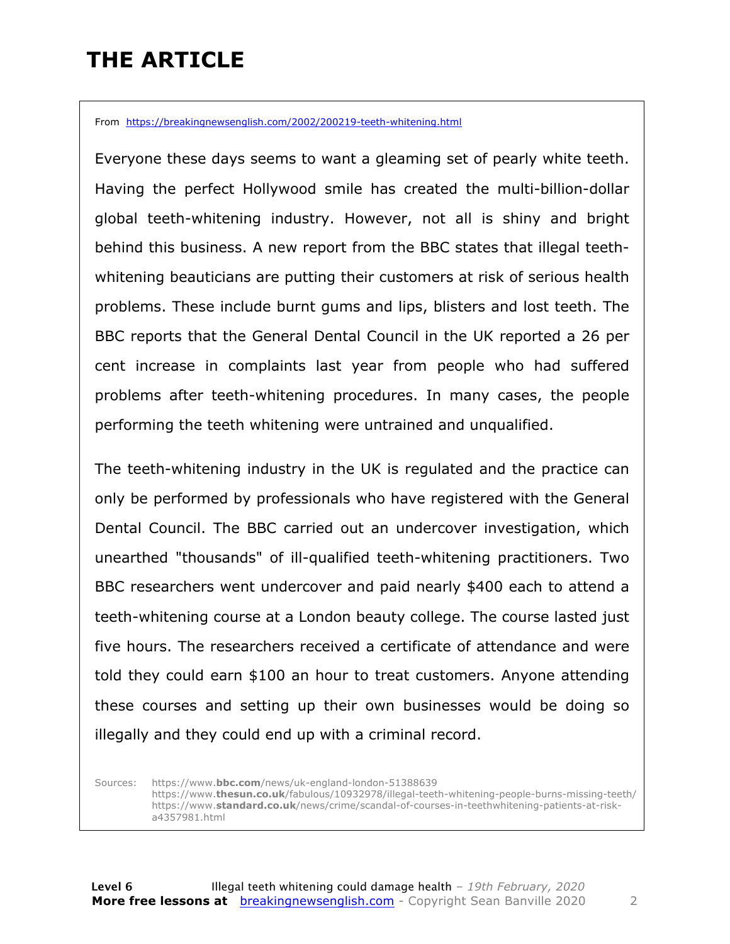### **THE ARTICLE**

From https://breakingnewsenglish.com/2002/200219-teeth-whitening.html

Everyone these days seems to want a gleaming set of pearly white teeth. Having the perfect Hollywood smile has created the multi-billion-dollar global teeth-whitening industry. However, not all is shiny and bright behind this business. A new report from the BBC states that illegal teethwhitening beauticians are putting their customers at risk of serious health problems. These include burnt gums and lips, blisters and lost teeth. The BBC reports that the General Dental Council in the UK reported a 26 per cent increase in complaints last year from people who had suffered problems after teeth-whitening procedures. In many cases, the people performing the teeth whitening were untrained and unqualified.

The teeth-whitening industry in the UK is regulated and the practice can only be performed by professionals who have registered with the General Dental Council. The BBC carried out an undercover investigation, which unearthed "thousands" of ill-qualified teeth-whitening practitioners. Two BBC researchers went undercover and paid nearly \$400 each to attend a teeth-whitening course at a London beauty college. The course lasted just five hours. The researchers received a certificate of attendance and were told they could earn \$100 an hour to treat customers. Anyone attending these courses and setting up their own businesses would be doing so illegally and they could end up with a criminal record.

Sources: https://www.**bbc.com**/news/uk-england-london-51388639 https://www.**thesun.co.uk**/fabulous/10932978/illegal-teeth-whitening-people-burns-missing-teeth/ https://www.**standard.co.uk**/news/crime/scandal-of-courses-in-teethwhitening-patients-at-riska4357981.html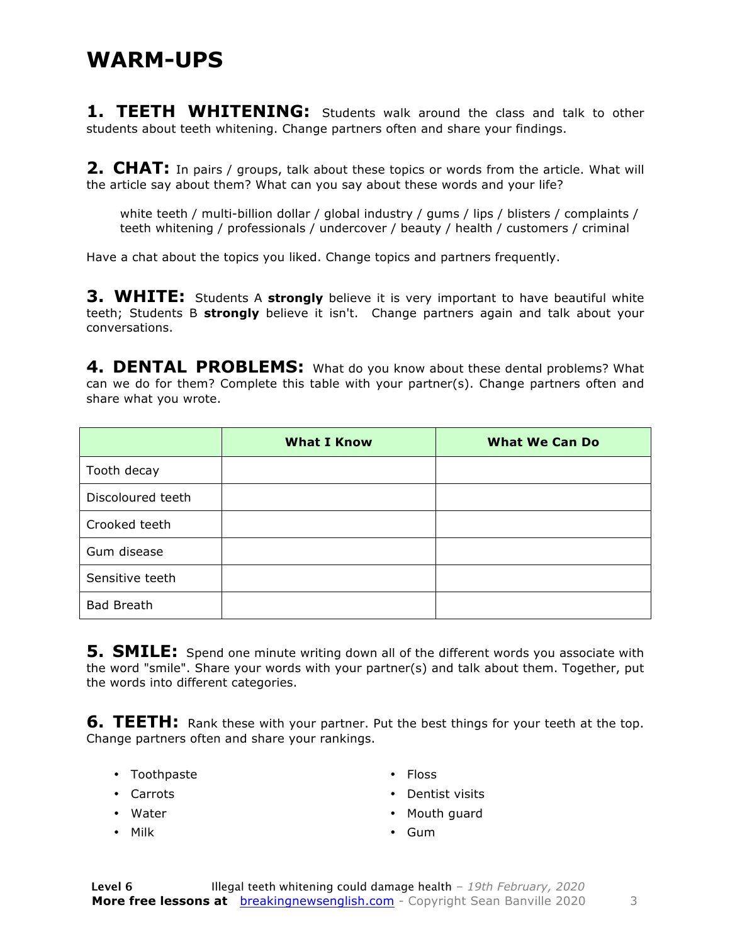**1. TEETH WHITENING:** Students walk around the class and talk to other students about teeth whitening. Change partners often and share your findings.

**2. CHAT:** In pairs / groups, talk about these topics or words from the article. What will the article say about them? What can you say about these words and your life?

white teeth / multi-billion dollar / global industry / gums / lips / blisters / complaints / teeth whitening / professionals / undercover / beauty / health / customers / criminal

Have a chat about the topics you liked. Change topics and partners frequently.

**3. WHITE:** Students A strongly believe it is very important to have beautiful white teeth; Students B **strongly** believe it isn't. Change partners again and talk about your conversations.

**4. DENTAL PROBLEMS:** What do you know about these dental problems? What can we do for them? Complete this table with your partner(s). Change partners often and share what you wrote.

|                   | <b>What I Know</b> | <b>What We Can Do</b> |
|-------------------|--------------------|-----------------------|
| Tooth decay       |                    |                       |
| Discoloured teeth |                    |                       |
| Crooked teeth     |                    |                       |
| Gum disease       |                    |                       |
| Sensitive teeth   |                    |                       |
| <b>Bad Breath</b> |                    |                       |

**5. SMILE:** Spend one minute writing down all of the different words you associate with the word "smile". Share your words with your partner(s) and talk about them. Together, put the words into different categories.

**6. TEETH:** Rank these with your partner. Put the best things for your teeth at the top. Change partners often and share your rankings.

- Toothpaste
- Carrots
- Water
- Milk
- Floss
- Dentist visits
- Mouth guard
- Gum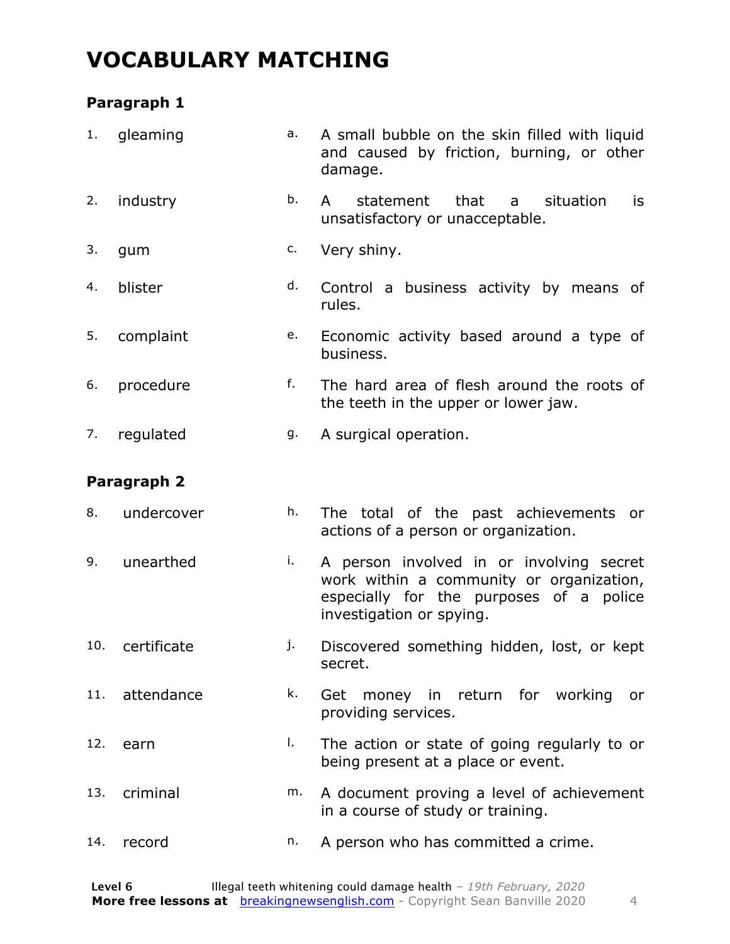#### **VOCABULARY MATCHING**

#### **Paragraph 1**

| 1.  | gleaming    | a. | A small bubble on the skin filled with liquid<br>and caused by friction, burning, or other<br>damage.                                                       |
|-----|-------------|----|-------------------------------------------------------------------------------------------------------------------------------------------------------------|
| 2.  | industry    | b. | that<br>situation<br>$\mathsf{A}$<br>statement<br>is<br>a<br>unsatisfactory or unacceptable.                                                                |
| 3.  | gum         | c. | Very shiny.                                                                                                                                                 |
| 4.  | blister     | d. | Control a business activity by means of<br>rules.                                                                                                           |
| 5.  | complaint   | е. | Economic activity based around a type of<br>business.                                                                                                       |
| 6.  | procedure   | f. | The hard area of flesh around the roots of<br>the teeth in the upper or lower jaw.                                                                          |
| 7.  | regulated   | g. | A surgical operation.                                                                                                                                       |
|     | Paragraph 2 |    |                                                                                                                                                             |
| 8.  | undercover  | h. | The total of the past achievements or<br>actions of a person or organization.                                                                               |
| 9.  | unearthed   | i. | A person involved in or involving secret<br>work within a community or organization,<br>especially for the purposes of a police<br>investigation or spying. |
| 10. | certificate | j. | Discovered something hidden, lost, or kept<br>secret.                                                                                                       |
| 11. | attendance  | k. | Get money in return for working<br>or<br>providing services.                                                                                                |
| 12. | earn        | I. | The action or state of going regularly to or<br>being present at a place or event.                                                                          |
| 13. | criminal    | m. | A document proving a level of achievement<br>in a course of study or training.                                                                              |
| 14. | record      | n. | A person who has committed a crime.                                                                                                                         |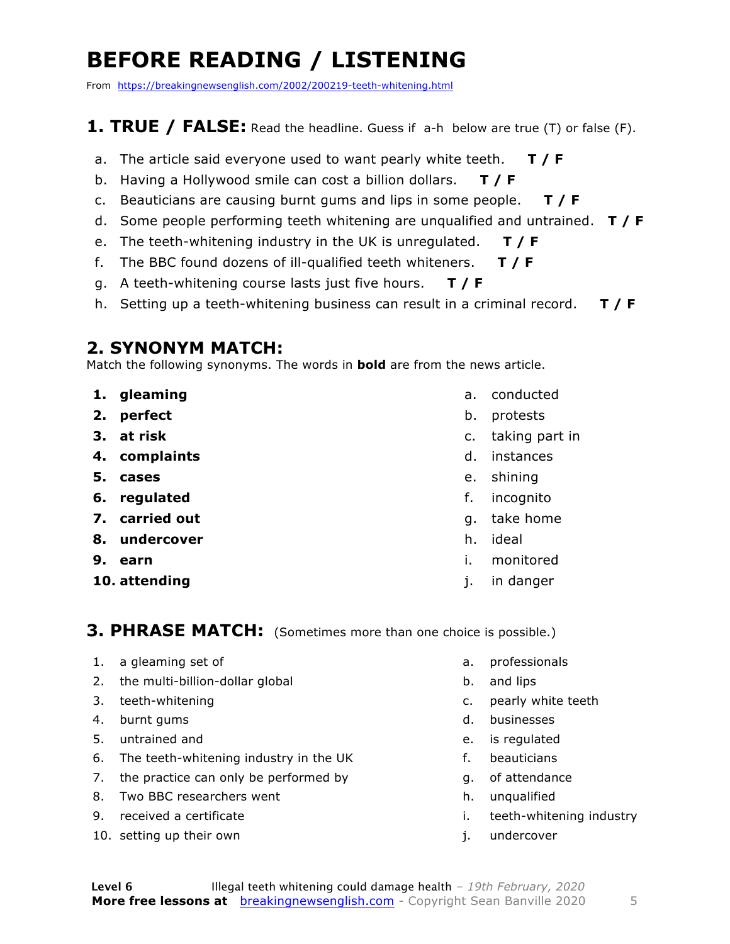### **BEFORE READING / LISTENING**

From https://breakingnewsenglish.com/2002/200219-teeth-whitening.html

#### **1. TRUE / FALSE:** Read the headline. Guess if a-h below are true (T) or false (F).

- a. The article said everyone used to want pearly white teeth. **T / F**
- b. Having a Hollywood smile can cost a billion dollars. **T / F**
- c. Beauticians are causing burnt gums and lips in some people. **T / F**
- d. Some people performing teeth whitening are unqualified and untrained. **T / F**
- e. The teeth-whitening industry in the UK is unregulated. **T / F**
- f. The BBC found dozens of ill-qualified teeth whiteners. **T / F**
- g. A teeth-whitening course lasts just five hours. **T / F**
- h. Setting up a teeth-whitening business can result in a criminal record. **T / F**

#### **2. SYNONYM MATCH:**

Match the following synonyms. The words in **bold** are from the news article.

- **1. gleaming**
- **2. perfect**
- **3. at risk**
- **4. complaints**
- **5. cases**
- **6. regulated**
- **7. carried out**
- **8. undercover**
- **9. earn**
- **10. attending**
- a. conducted
- b. protests
- c. taking part in
- d. instances
- e. shining
- f. incognito
- g. take home
- h. ideal
- i. monitored
- j. in danger

#### **3. PHRASE MATCH:** (Sometimes more than one choice is possible.)

- 1. a gleaming set of
- 2. the multi-billion-dollar global
- 3. teeth-whitening
- 4. burnt gums
- 5. untrained and
- 6. The teeth-whitening industry in the UK
- 7. the practice can only be performed by
- 8. Two BBC researchers went
- 9. received a certificate
- 10. setting up their own
- a. professionals
- b. and lips
- c. pearly white teeth
- d. businesses
- e. is regulated
- f. beauticians
- g. of attendance
- h. unqualified
- i. teeth-whitening industry
- j. undercover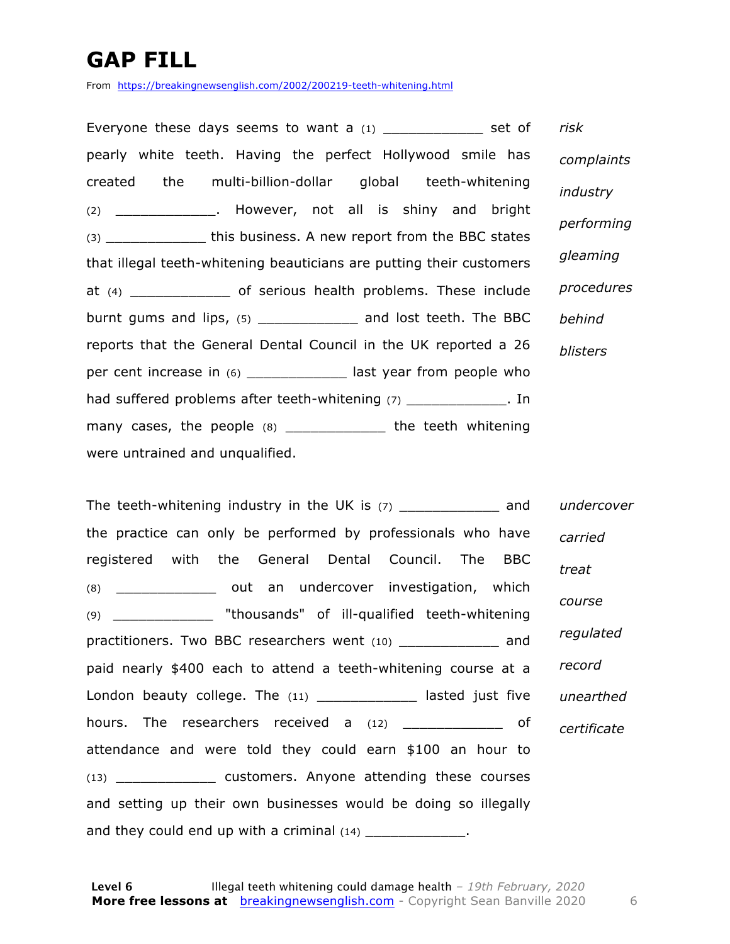### **GAP FILL**

From https://breakingnewsenglish.com/2002/200219-teeth-whitening.html

Everyone these days seems to want a  $(1)$  \_\_\_\_\_\_\_\_\_\_\_\_ set of pearly white teeth. Having the perfect Hollywood smile has created the multi-billion-dollar global teeth-whitening (2) \_\_\_\_\_\_\_\_\_\_\_\_. However, not all is shiny and bright (3)  $\qquad \qquad$  this business. A new report from the BBC states that illegal teeth-whitening beauticians are putting their customers at (4) \_\_\_\_\_\_\_\_\_\_\_\_ of serious health problems. These include burnt gums and lips, (5) \_\_\_\_\_\_\_\_\_\_\_\_\_\_ and lost teeth. The BBC reports that the General Dental Council in the UK reported a 26 per cent increase in (6) \_\_\_\_\_\_\_\_\_\_\_\_\_\_ last year from people who had suffered problems after teeth-whitening (7) \_\_\_\_\_\_\_\_\_\_\_\_\_\_. In many cases, the people (8) \_\_\_\_\_\_\_\_\_\_\_\_\_ the teeth whitening were untrained and unqualified. *risk complaints industry performing gleaming procedures behind blisters*

The teeth-whitening industry in the UK is  $(7)$  and the practice can only be performed by professionals who have registered with the General Dental Council. The BBC (8) an undercover investigation, which (9) \_\_\_\_\_\_\_\_\_\_\_\_ "thousands" of ill-qualified teeth-whitening practitioners. Two BBC researchers went (10) \_\_\_\_\_\_\_\_\_\_\_\_ and paid nearly \$400 each to attend a teeth-whitening course at a London beauty college. The (11) \_\_\_\_\_\_\_\_\_\_\_\_\_ lasted just five hours. The researchers received a (12) \_\_\_\_\_\_\_\_\_\_\_\_\_\_ of attendance and were told they could earn \$100 an hour to (13) \_\_\_\_\_\_\_\_\_\_\_\_ customers. Anyone attending these courses and setting up their own businesses would be doing so illegally and they could end up with a criminal  $(14)$  \_\_\_\_\_\_\_\_\_\_\_\_\_. *undercover carried treat course regulated record unearthed certificate*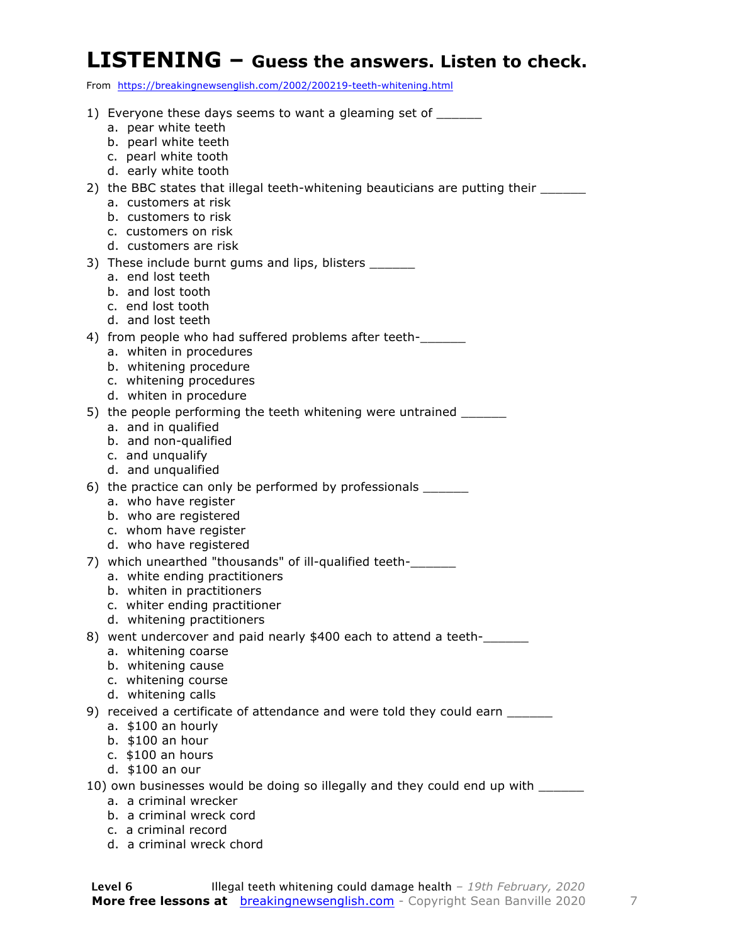#### **LISTENING – Guess the answers. Listen to check.**

From https://breakingnewsenglish.com/2002/200219-teeth-whitening.html

| 1) Everyone these days seems to want a gleaming set of ______                                                 |
|---------------------------------------------------------------------------------------------------------------|
| a. pear white teeth<br>b. pearl white teeth                                                                   |
| c. pearl white tooth                                                                                          |
| d. early white tooth                                                                                          |
| 2) the BBC states that illegal teeth-whitening beauticians are putting their ________<br>a. customers at risk |
| b. customers to risk                                                                                          |
| c. customers on risk<br>d. customers are risk                                                                 |
| 3) These include burnt gums and lips, blisters ______                                                         |
| a. end lost teeth<br>b. and lost tooth                                                                        |
| c. end lost tooth                                                                                             |
| d. and lost teeth                                                                                             |
| 4) from people who had suffered problems after teeth-<br>a. whiten in procedures                              |
| b. whitening procedure                                                                                        |
| c. whitening procedures<br>d. whiten in procedure                                                             |
| 5) the people performing the teeth whitening were untrained _______                                           |
| a. and in qualified                                                                                           |
| b. and non-qualified<br>c. and unqualify                                                                      |
| d. and unqualified                                                                                            |
| 6) the practice can only be performed by professionals ________<br>a. who have register                       |
| b. who are registered                                                                                         |
| c. whom have register<br>d. who have registered                                                               |
| 7) which unearthed "thousands" of ill-qualified teeth-                                                        |
| a. white ending practitioners                                                                                 |
| b. whiten in practitioners<br>c. whiter ending practitioner                                                   |
| d. whitening practitioners                                                                                    |
| 8) went undercover and paid nearly \$400 each to attend a teeth-<br>a. whitening coarse                       |
| b. whitening cause                                                                                            |
| c. whitening course                                                                                           |
| d. whitening calls<br>9) received a certificate of attendance and were told they could earn _______           |
| a. \$100 an hourly                                                                                            |
| b. \$100 an hour<br>c. \$100 an hours                                                                         |
| d. \$100 an our                                                                                               |
| 10) own businesses would be doing so illegally and they could end up with ______                              |
| a. a criminal wrecker<br>b. a criminal wreck cord                                                             |
| c. a criminal record                                                                                          |

d. a criminal wreck chord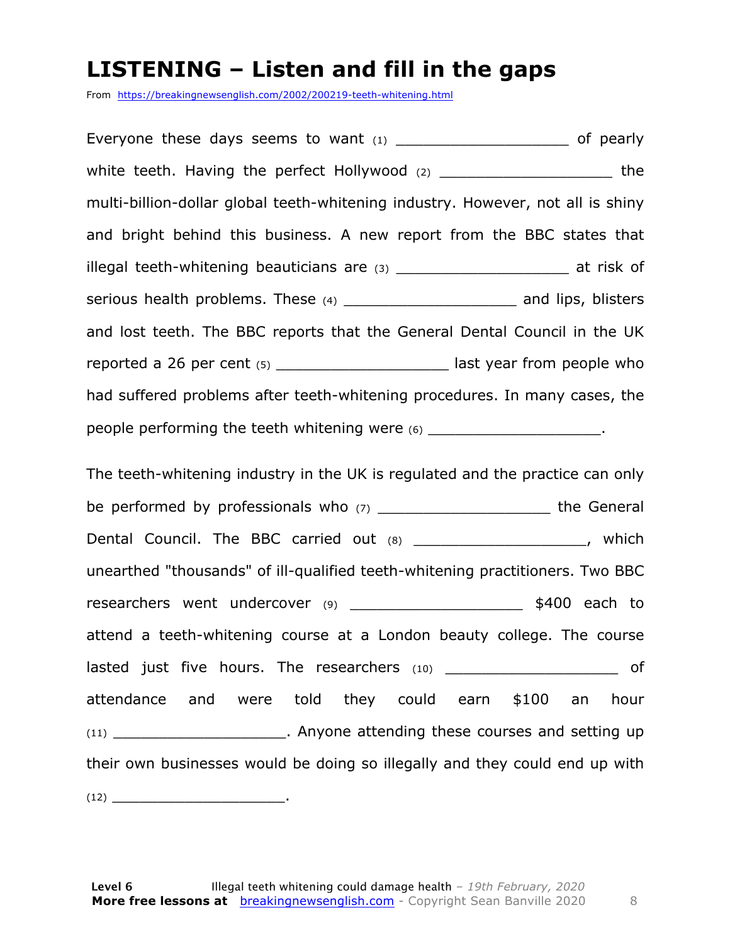#### **LISTENING – Listen and fill in the gaps**

From https://breakingnewsenglish.com/2002/200219-teeth-whitening.html

Everyone these days seems to want  $(1)$  \_\_\_\_\_\_\_\_\_\_\_\_\_\_\_\_\_\_\_\_\_\_\_\_\_ of pearly white teeth. Having the perfect Hollywood  $(2)$   $(2)$ multi-billion-dollar global teeth-whitening industry. However, not all is shiny and bright behind this business. A new report from the BBC states that illegal teeth-whitening beauticians are (3) \_\_\_\_\_\_\_\_\_\_\_\_\_\_\_\_\_\_\_\_\_\_\_\_\_ at risk of serious health problems. These (4) example and lips, blisters and lost teeth. The BBC reports that the General Dental Council in the UK reported a 26 per cent (5) contains the last year from people who had suffered problems after teeth-whitening procedures. In many cases, the people performing the teeth whitening were (6) \_\_\_\_\_\_\_\_\_\_\_\_\_\_\_\_\_\_\_\_\_\_\_.

The teeth-whitening industry in the UK is regulated and the practice can only be performed by professionals who  $(7)$  and the General Dental Council. The BBC carried out (8) \_\_\_\_\_\_\_\_\_\_\_\_\_\_\_\_\_\_\_\_\_\_, which unearthed "thousands" of ill-qualified teeth-whitening practitioners. Two BBC researchers went undercover (9) \_\_\_\_\_\_\_\_\_\_\_\_\_\_\_\_\_\_\_\_\_\_\_\_\_ \$400 each to attend a teeth-whitening course at a London beauty college. The course lasted just five hours. The researchers (10) and the state of attendance and were told they could earn \$100 an hour (11) **Anyone attending these courses and setting up** their own businesses would be doing so illegally and they could end up with  $(12)$   $\qquad \qquad$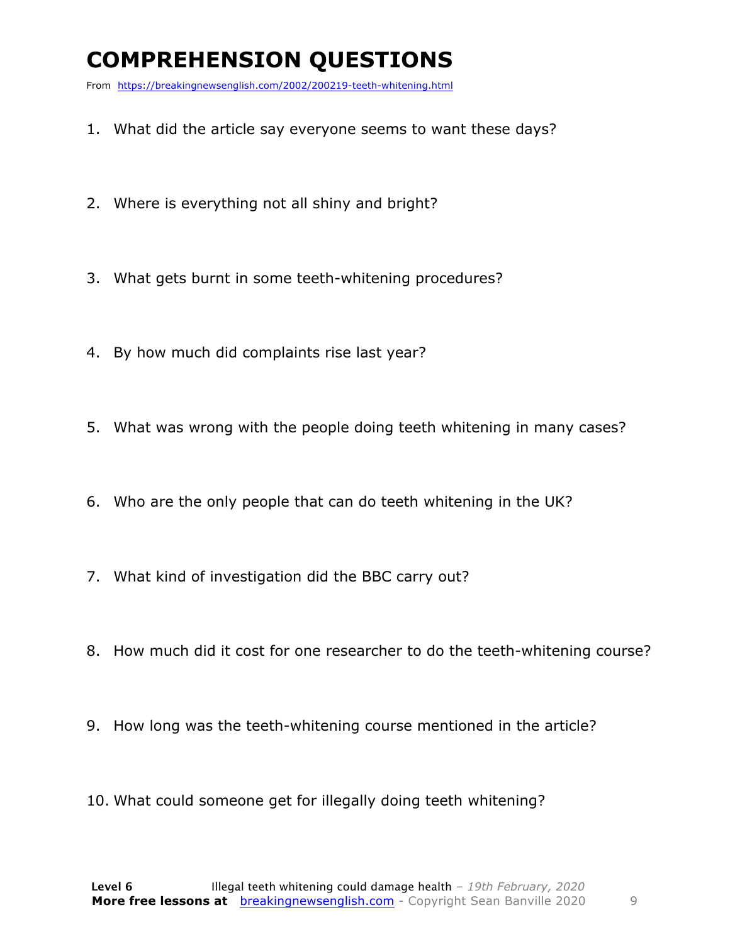### **COMPREHENSION QUESTIONS**

From https://breakingnewsenglish.com/2002/200219-teeth-whitening.html

- 1. What did the article say everyone seems to want these days?
- 2. Where is everything not all shiny and bright?
- 3. What gets burnt in some teeth-whitening procedures?
- 4. By how much did complaints rise last year?
- 5. What was wrong with the people doing teeth whitening in many cases?
- 6. Who are the only people that can do teeth whitening in the UK?
- 7. What kind of investigation did the BBC carry out?
- 8. How much did it cost for one researcher to do the teeth-whitening course?
- 9. How long was the teeth-whitening course mentioned in the article?
- 10. What could someone get for illegally doing teeth whitening?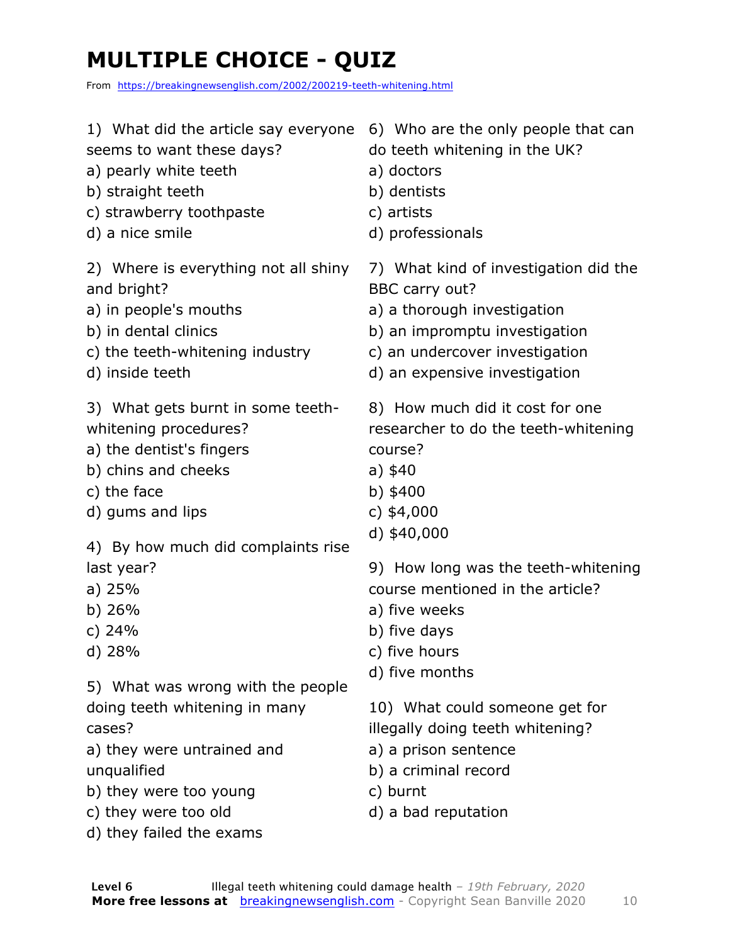### **MULTIPLE CHOICE - QUIZ**

From https://breakingnewsenglish.com/2002/200219-teeth-whitening.html

| 1) What did the article say everyone<br>seems to want these days?<br>a) pearly white teeth<br>b) straight teeth<br>c) strawberry toothpaste<br>d) a nice smile                                          | 6) Who are the only people that can<br>do teeth whitening in the UK?<br>a) doctors<br>b) dentists<br>c) artists<br>d) professionals                                                        |
|---------------------------------------------------------------------------------------------------------------------------------------------------------------------------------------------------------|--------------------------------------------------------------------------------------------------------------------------------------------------------------------------------------------|
| 2) Where is everything not all shiny<br>and bright?<br>a) in people's mouths<br>b) in dental clinics<br>c) the teeth-whitening industry<br>d) inside teeth                                              | 7) What kind of investigation did the<br>BBC carry out?<br>a) a thorough investigation<br>b) an impromptu investigation<br>c) an undercover investigation<br>d) an expensive investigation |
| 3) What gets burnt in some teeth-<br>whitening procedures?<br>a) the dentist's fingers<br>b) chins and cheeks<br>c) the face<br>d) gums and lips                                                        | 8) How much did it cost for one<br>researcher to do the teeth-whitening<br>course?<br>a) $$40$<br>b) $$400$<br>c) $$4,000$<br>d) $$40,000$                                                 |
| 4) By how much did complaints rise<br>last year?<br>a) $25%$<br>b) $26%$<br>c) $24%$<br>$d)$ 28%                                                                                                        | 9) How long was the teeth-whitening<br>course mentioned in the article?<br>a) five weeks<br>b) five days<br>c) five hours                                                                  |
| 5) What was wrong with the people<br>doing teeth whitening in many<br>cases?<br>a) they were untrained and<br>unqualified<br>b) they were too young<br>c) they were too old<br>d) they failed the exams | d) five months<br>10) What could someone get for<br>illegally doing teeth whitening?<br>a) a prison sentence<br>b) a criminal record<br>c) burnt<br>d) a bad reputation                    |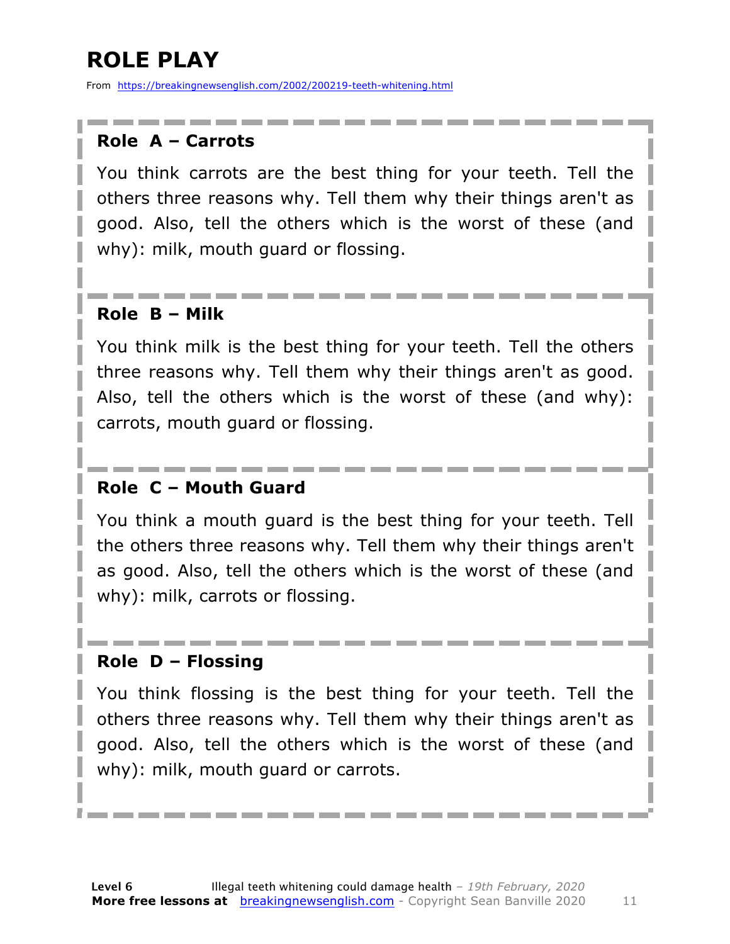### **ROLE PLAY**

From https://breakingnewsenglish.com/2002/200219-teeth-whitening.html

#### **Role A – Carrots**

You think carrots are the best thing for your teeth. Tell the others three reasons why. Tell them why their things aren't as good. Also, tell the others which is the worst of these (and why): milk, mouth guard or flossing.

#### **Role B – Milk**

You think milk is the best thing for your teeth. Tell the others three reasons why. Tell them why their things aren't as good. Also, tell the others which is the worst of these (and why): carrots, mouth guard or flossing.

#### **Role C – Mouth Guard**

You think a mouth guard is the best thing for your teeth. Tell the others three reasons why. Tell them why their things aren't as good. Also, tell the others which is the worst of these (and why): milk, carrots or flossing.

#### **Role D – Flossing**

You think flossing is the best thing for your teeth. Tell the others three reasons why. Tell them why their things aren't as good. Also, tell the others which is the worst of these (and why): milk, mouth guard or carrots.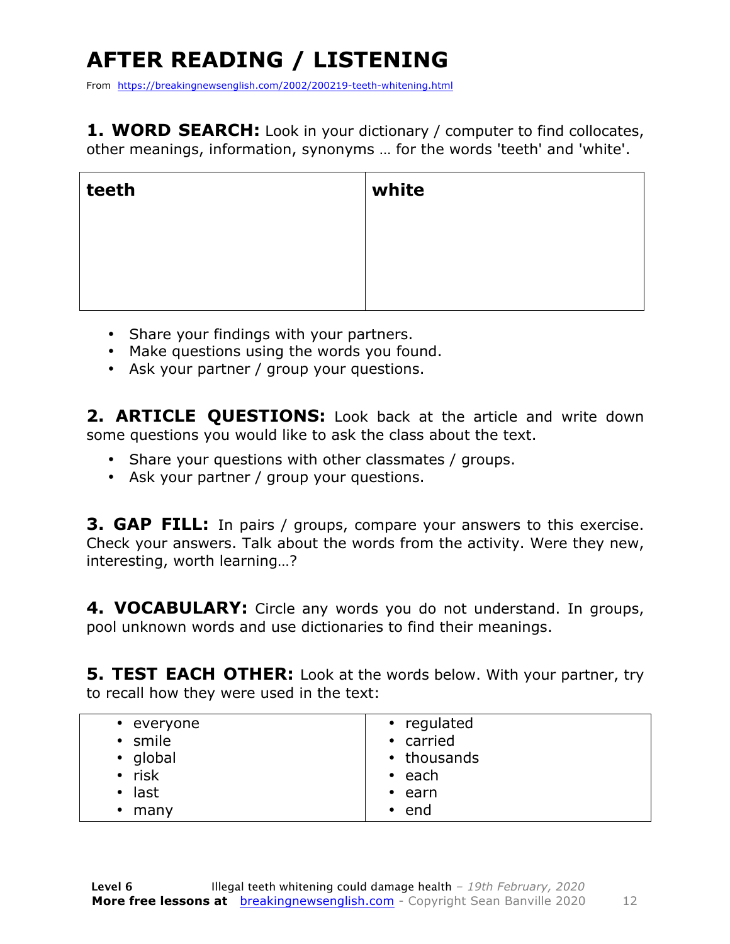## **AFTER READING / LISTENING**

From https://breakingnewsenglish.com/2002/200219-teeth-whitening.html

**1. WORD SEARCH:** Look in your dictionary / computer to find collocates, other meanings, information, synonyms … for the words 'teeth' and 'white'.

| teeth | white |
|-------|-------|
|       |       |
|       |       |
|       |       |

- Share your findings with your partners.
- Make questions using the words you found.
- Ask your partner / group your questions.

2. **ARTICLE OUESTIONS:** Look back at the article and write down some questions you would like to ask the class about the text.

- Share your questions with other classmates / groups.
- Ask your partner / group your questions.

**3. GAP FILL:** In pairs / groups, compare your answers to this exercise. Check your answers. Talk about the words from the activity. Were they new, interesting, worth learning…?

**4. VOCABULARY:** Circle any words you do not understand. In groups, pool unknown words and use dictionaries to find their meanings.

**5. TEST EACH OTHER:** Look at the words below. With your partner, try to recall how they were used in the text: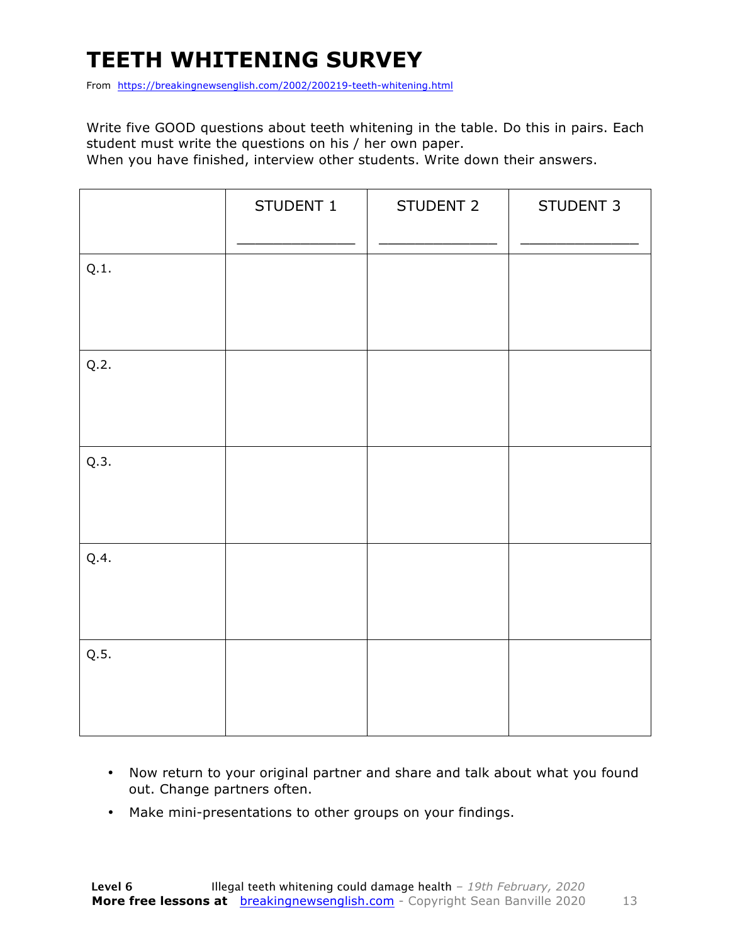### **TEETH WHITENING SURVEY**

From https://breakingnewsenglish.com/2002/200219-teeth-whitening.html

Write five GOOD questions about teeth whitening in the table. Do this in pairs. Each student must write the questions on his / her own paper.

When you have finished, interview other students. Write down their answers.

|      | STUDENT 1 | STUDENT 2 | STUDENT 3 |
|------|-----------|-----------|-----------|
| Q.1. |           |           |           |
| Q.2. |           |           |           |
| Q.3. |           |           |           |
| Q.4. |           |           |           |
| Q.5. |           |           |           |

- Now return to your original partner and share and talk about what you found out. Change partners often.
- Make mini-presentations to other groups on your findings.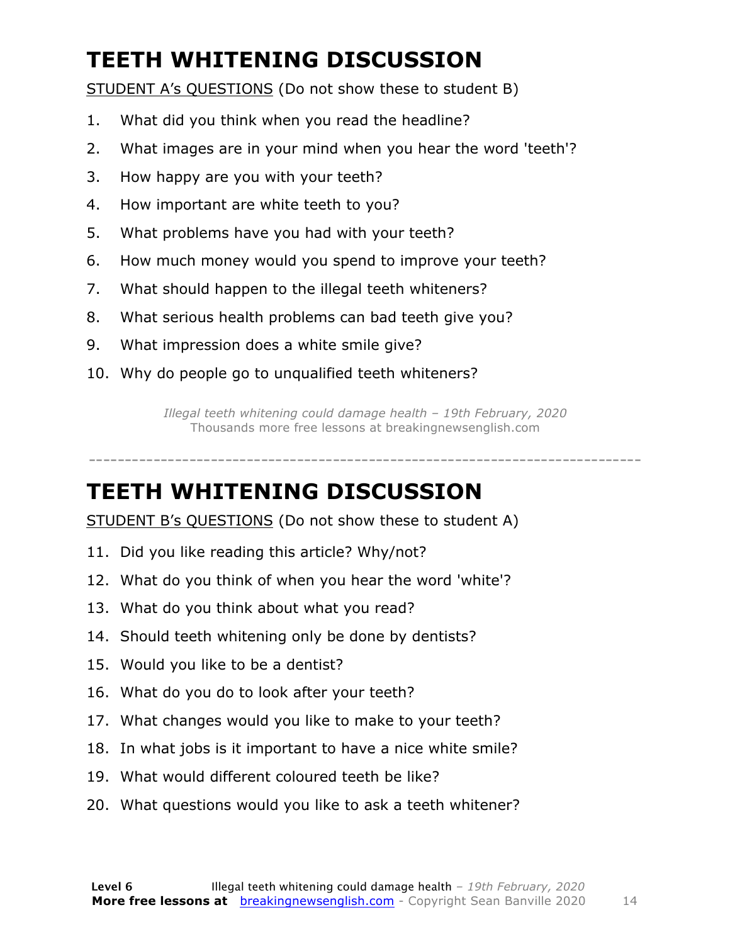### **TEETH WHITENING DISCUSSION**

STUDENT A's QUESTIONS (Do not show these to student B)

- 1. What did you think when you read the headline?
- 2. What images are in your mind when you hear the word 'teeth'?
- 3. How happy are you with your teeth?
- 4. How important are white teeth to you?
- 5. What problems have you had with your teeth?
- 6. How much money would you spend to improve your teeth?
- 7. What should happen to the illegal teeth whiteners?
- 8. What serious health problems can bad teeth give you?
- 9. What impression does a white smile give?
- 10. Why do people go to unqualified teeth whiteners?

*Illegal teeth whitening could damage health – 19th February, 2020* Thousands more free lessons at breakingnewsenglish.com

-----------------------------------------------------------------------------

#### **TEETH WHITENING DISCUSSION**

STUDENT B's QUESTIONS (Do not show these to student A)

- 11. Did you like reading this article? Why/not?
- 12. What do you think of when you hear the word 'white'?
- 13. What do you think about what you read?
- 14. Should teeth whitening only be done by dentists?
- 15. Would you like to be a dentist?
- 16. What do you do to look after your teeth?
- 17. What changes would you like to make to your teeth?
- 18. In what jobs is it important to have a nice white smile?
- 19. What would different coloured teeth be like?
- 20. What questions would you like to ask a teeth whitener?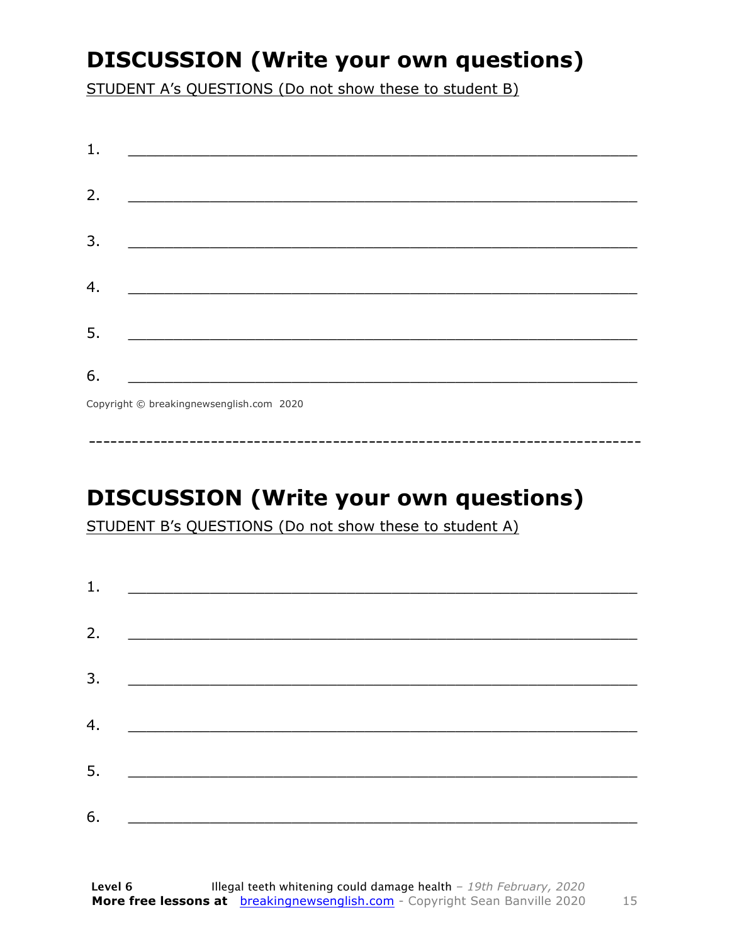### **DISCUSSION (Write your own questions)**

STUDENT A's QUESTIONS (Do not show these to student B)

| 1. |                                                                                                                       |
|----|-----------------------------------------------------------------------------------------------------------------------|
| 2. | <u> 1980 - Johann Barbara, martin da basar da basar da basar da basar da basar da basar da basar da basar da basa</u> |
|    |                                                                                                                       |
| 3. |                                                                                                                       |
| 4. |                                                                                                                       |
| 5. | <u> 1989 - Johann John Stone, mars eta biztanleria (</u>                                                              |
| 6. |                                                                                                                       |
|    | Convright @ hreakingnewsenglish com 2020                                                                              |

Copyright © breakingnewsenglish.com 2020

### **DISCUSSION (Write your own questions)**

STUDENT B's QUESTIONS (Do not show these to student A)

| 1. | <u> Alexandria de la contrada de la contrada de la contrada de la contrada de la contrada de la contrada de la c</u> |  |  |
|----|----------------------------------------------------------------------------------------------------------------------|--|--|
|    |                                                                                                                      |  |  |
| 2. |                                                                                                                      |  |  |
| 3. |                                                                                                                      |  |  |
|    |                                                                                                                      |  |  |
| 4. |                                                                                                                      |  |  |
| 5. |                                                                                                                      |  |  |
| 6. |                                                                                                                      |  |  |
|    |                                                                                                                      |  |  |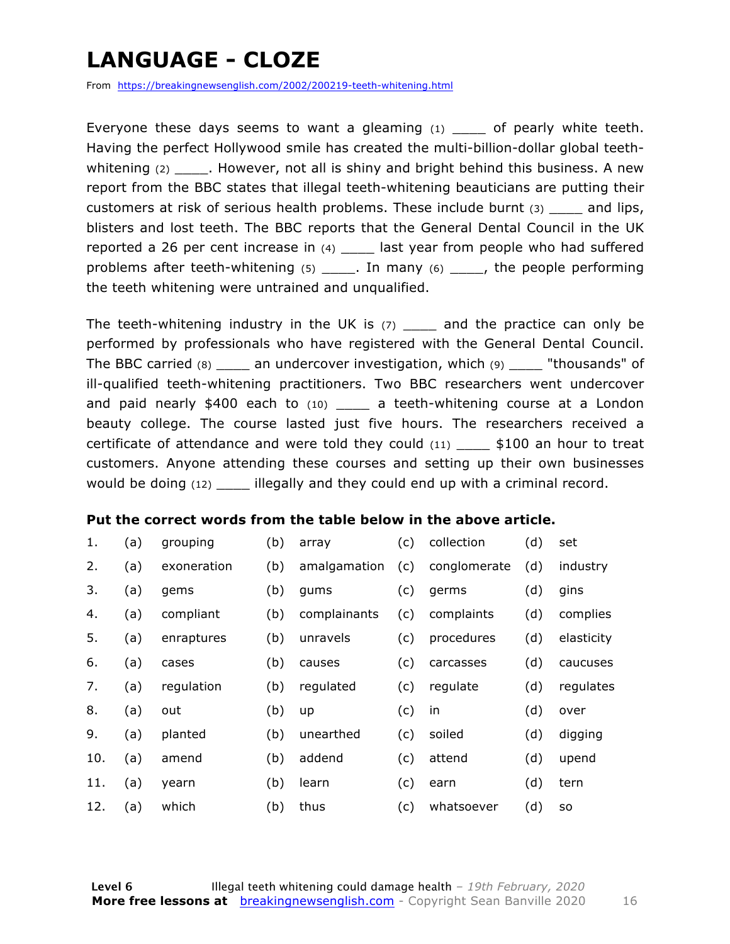### **LANGUAGE - CLOZE**

From https://breakingnewsenglish.com/2002/200219-teeth-whitening.html

Everyone these days seems to want a gleaming  $(1)$  of pearly white teeth. Having the perfect Hollywood smile has created the multi-billion-dollar global teethwhitening  $(2)$  . However, not all is shiny and bright behind this business. A new report from the BBC states that illegal teeth-whitening beauticians are putting their customers at risk of serious health problems. These include burnt (3) \_\_\_\_ and lips, blisters and lost teeth. The BBC reports that the General Dental Council in the UK reported a 26 per cent increase in (4) \_\_\_\_ last year from people who had suffered problems after teeth-whitening  $(5)$  \_\_\_\_\_. In many  $(6)$  \_\_\_\_\_, the people performing the teeth whitening were untrained and unqualified.

The teeth-whitening industry in the UK is  $(7)$  and the practice can only be performed by professionals who have registered with the General Dental Council. The BBC carried (8) \_\_\_\_ an undercover investigation, which (9) \_\_\_\_ "thousands" of ill-qualified teeth-whitening practitioners. Two BBC researchers went undercover and paid nearly \$400 each to (10) \_\_\_\_\_ a teeth-whitening course at a London beauty college. The course lasted just five hours. The researchers received a certificate of attendance and were told they could  $(11)$  \$100 an hour to treat customers. Anyone attending these courses and setting up their own businesses would be doing (12) **illegally and they could end up with a criminal record.** 

#### **Put the correct words from the table below in the above article.**

| 1.  | (a) | grouping    | (b) | array        | (c) | collection   | (d) | set        |
|-----|-----|-------------|-----|--------------|-----|--------------|-----|------------|
| 2.  | (a) | exoneration | (b) | amalgamation | (c) | conglomerate | (d) | industry   |
| 3.  | (a) | gems        | (b) | qums         | (c) | germs        | (d) | gins       |
| 4.  | (a) | compliant   | (b) | complainants | (c) | complaints   | (d) | complies   |
| 5.  | (a) | enraptures  | (b) | unravels     | (c) | procedures   | (d) | elasticity |
| 6.  | (a) | cases       | (b) | causes       | (c) | carcasses    | (d) | caucuses   |
| 7.  | (a) | regulation  | (b) | regulated    | (c) | regulate     | (d) | regulates  |
| 8.  | (a) | out         | (b) | up           | (c) | in           | (d) | over       |
| 9.  | (a) | planted     | (b) | unearthed    | (c) | soiled       | (d) | digging    |
| 10. | (a) | amend       | (b) | addend       | (c) | attend       | (d) | upend      |
| 11. | (a) | yearn       | (b) | learn        | (c) | earn         | (d) | tern       |
| 12. | (a) | which       | (b) | thus         | (c) | whatsoever   | (d) | <b>SO</b>  |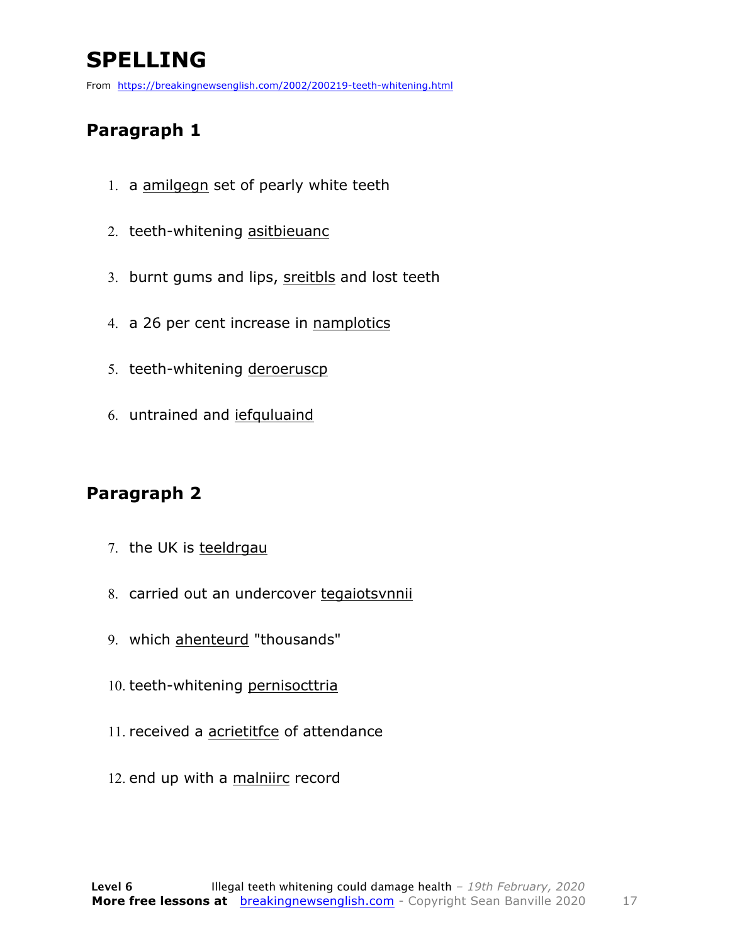### **SPELLING**

From https://breakingnewsenglish.com/2002/200219-teeth-whitening.html

#### **Paragraph 1**

- 1. a amilgegn set of pearly white teeth
- 2. teeth-whitening asitbieuanc
- 3. burnt gums and lips, sreitbls and lost teeth
- 4. a 26 per cent increase in namplotics
- 5. teeth-whitening deroeruscp
- 6. untrained and iefquluaind

#### **Paragraph 2**

- 7. the UK is teeldrgau
- 8. carried out an undercover tegaiotsvnnii
- 9. which ahenteurd "thousands"
- 10. teeth-whitening pernisocttria
- 11. received a acrietitfce of attendance
- 12. end up with a malniirc record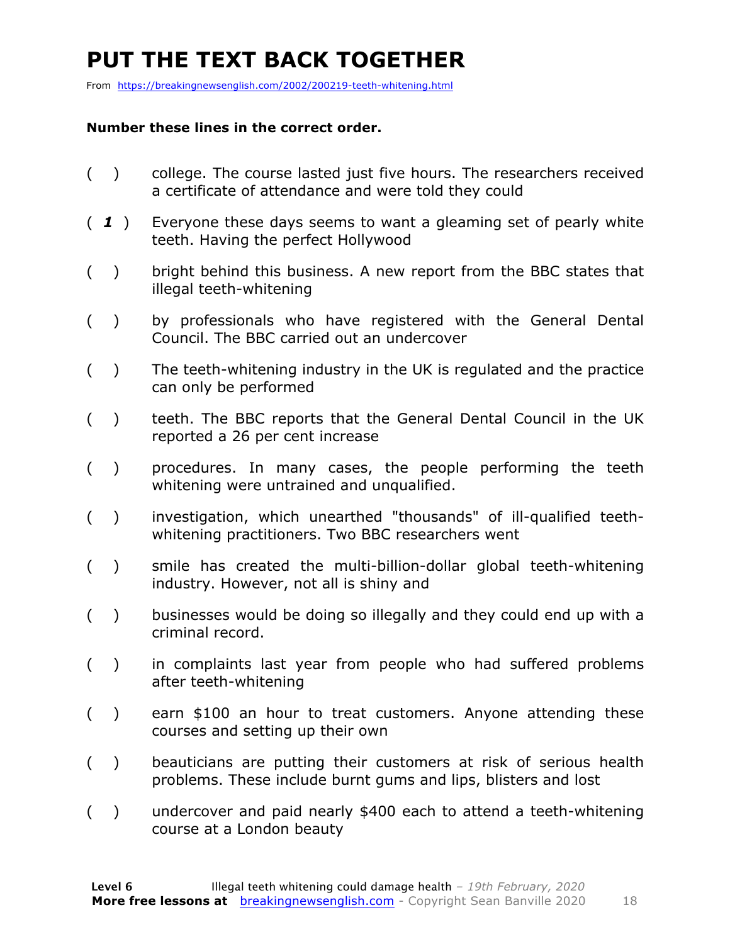### **PUT THE TEXT BACK TOGETHER**

From https://breakingnewsenglish.com/2002/200219-teeth-whitening.html

#### **Number these lines in the correct order.**

- ( ) college. The course lasted just five hours. The researchers received a certificate of attendance and were told they could
- ( *1* ) Everyone these days seems to want a gleaming set of pearly white teeth. Having the perfect Hollywood
- ( ) bright behind this business. A new report from the BBC states that illegal teeth-whitening
- ( ) by professionals who have registered with the General Dental Council. The BBC carried out an undercover
- ( ) The teeth-whitening industry in the UK is regulated and the practice can only be performed
- ( ) teeth. The BBC reports that the General Dental Council in the UK reported a 26 per cent increase
- ( ) procedures. In many cases, the people performing the teeth whitening were untrained and unqualified.
- ( ) investigation, which unearthed "thousands" of ill-qualified teethwhitening practitioners. Two BBC researchers went
- ( ) smile has created the multi-billion-dollar global teeth-whitening industry. However, not all is shiny and
- ( ) businesses would be doing so illegally and they could end up with a criminal record.
- ( ) in complaints last year from people who had suffered problems after teeth-whitening
- ( ) earn \$100 an hour to treat customers. Anyone attending these courses and setting up their own
- ( ) beauticians are putting their customers at risk of serious health problems. These include burnt gums and lips, blisters and lost
- ( ) undercover and paid nearly \$400 each to attend a teeth-whitening course at a London beauty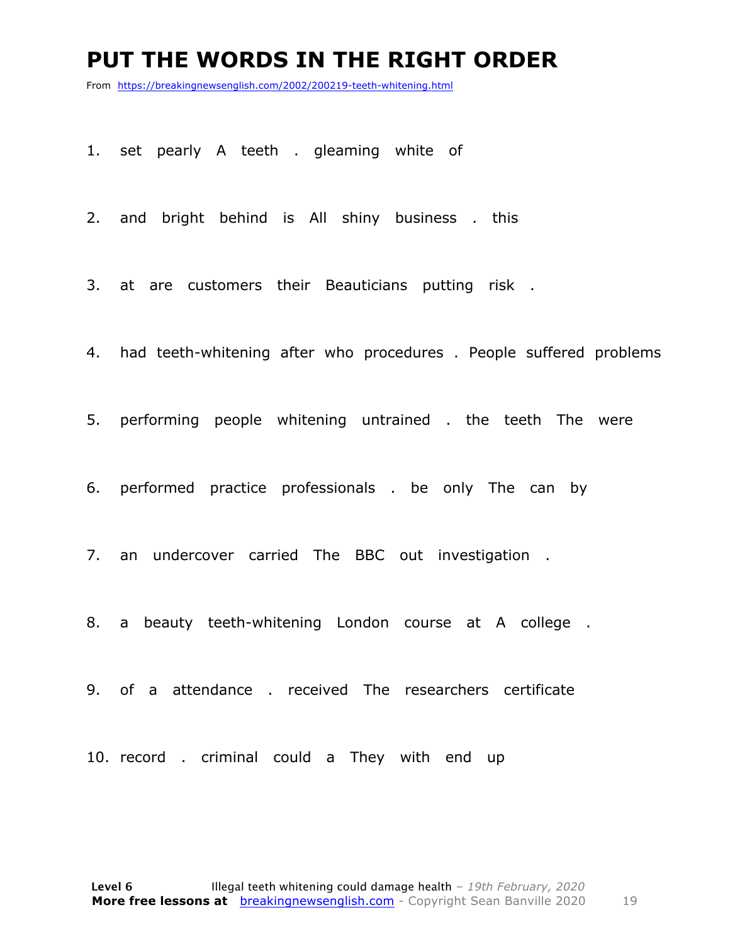#### **PUT THE WORDS IN THE RIGHT ORDER**

From https://breakingnewsenglish.com/2002/200219-teeth-whitening.html

1. set pearly A teeth . gleaming white of

2. and bright behind is All shiny business . this

3. at are customers their Beauticians putting risk .

4. had teeth-whitening after who procedures . People suffered problems

5. performing people whitening untrained . the teeth The were

6. performed practice professionals . be only The can by

7. an undercover carried The BBC out investigation .

8. a beauty teeth-whitening London course at A college .

9. of a attendance . received The researchers certificate

10. record . criminal could a They with end up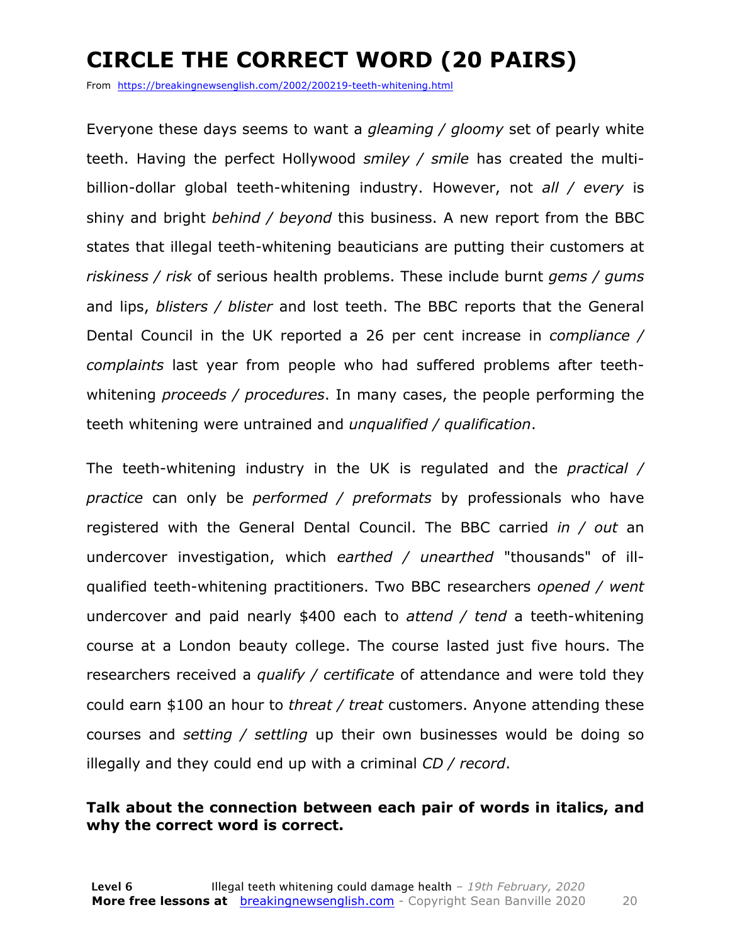### **CIRCLE THE CORRECT WORD (20 PAIRS)**

From https://breakingnewsenglish.com/2002/200219-teeth-whitening.html

Everyone these days seems to want a *gleaming / gloomy* set of pearly white teeth. Having the perfect Hollywood *smiley / smile* has created the multibillion-dollar global teeth-whitening industry. However, not *all / every* is shiny and bright *behind / beyond* this business. A new report from the BBC states that illegal teeth-whitening beauticians are putting their customers at *riskiness / risk* of serious health problems. These include burnt *gems / gums* and lips, *blisters / blister* and lost teeth. The BBC reports that the General Dental Council in the UK reported a 26 per cent increase in *compliance / complaints* last year from people who had suffered problems after teethwhitening *proceeds / procedures*. In many cases, the people performing the teeth whitening were untrained and *unqualified / qualification*.

The teeth-whitening industry in the UK is regulated and the *practical / practice* can only be *performed / preformats* by professionals who have registered with the General Dental Council. The BBC carried *in / out* an undercover investigation, which *earthed / unearthed* "thousands" of illqualified teeth-whitening practitioners. Two BBC researchers *opened / went* undercover and paid nearly \$400 each to *attend / tend* a teeth-whitening course at a London beauty college. The course lasted just five hours. The researchers received a *qualify / certificate* of attendance and were told they could earn \$100 an hour to *threat / treat* customers. Anyone attending these courses and *setting / settling* up their own businesses would be doing so illegally and they could end up with a criminal *CD / record*.

#### **Talk about the connection between each pair of words in italics, and why the correct word is correct.**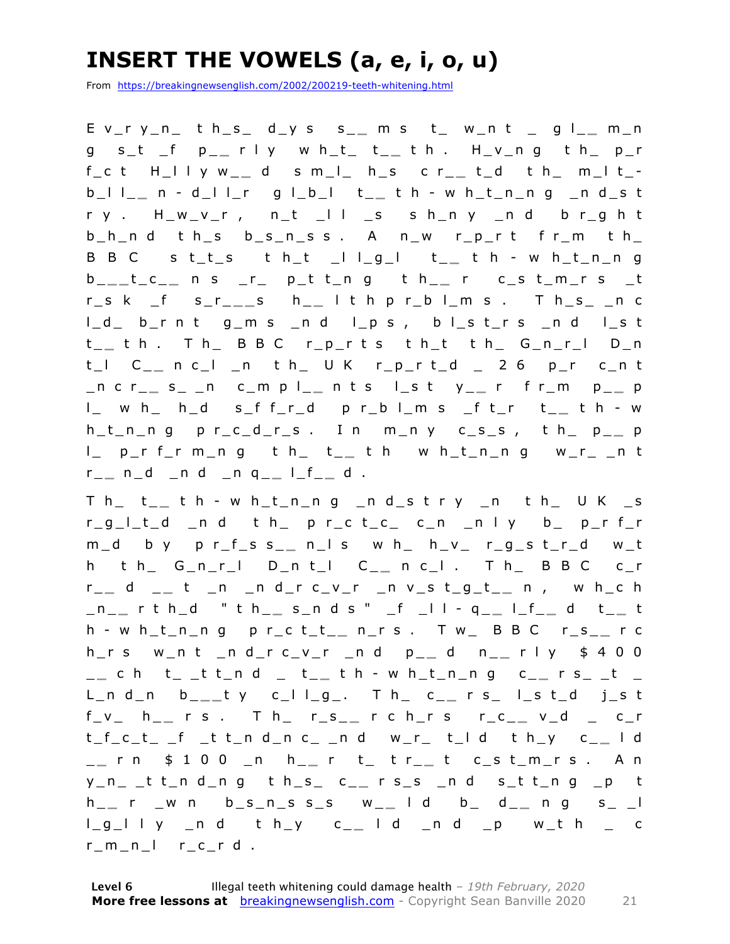### **INSERT THE VOWELS (a, e, i, o, u)**

From https://breakingnewsenglish.com/2002/200219-teeth-whitening.html

E v\_r y\_n\_ t h\_s\_ d\_y s s\_ **\_** m s t\_ w\_n t \_ g l\_ **\_** m\_n g s\_t \_f p\_ **\_** r l y w h\_t\_ t\_ **\_** t h . H\_v\_n g t h\_ p\_r f\_c t H\_l l y w\_ **\_** d s m\_l\_ h\_s c r\_ **\_** t\_d t h\_ m\_l t\_ b\_l l\_ **\_** n - d\_l l\_r g l\_b\_l t\_ **\_** t h - w h\_t\_n\_n g \_n d\_s t r y . H\_w\_v\_r , n\_t \_l l \_s s h\_n y \_n d b r\_g h t  $b_h$ nd ths  $b_s$ nss. Anw rp\_rt fr\_m th\_ B B C s t\_t\_s t h\_t \_l l \_g\_l t\_ **\_** t h - w h\_t\_n\_n g b \_ **\_ \_** t\_c\_ **\_** n s \_r\_ p\_t t\_n g t h\_ **\_** r c\_s t\_m\_r s \_t r\_s k \_f s\_r\_ **\_ \_** s h \_ **\_** l t h p r\_b l\_m s . T h\_s\_ \_n c l\_d\_ b\_r n t g\_m s \_n d l\_p s , b l\_s t\_r s \_n d l\_s t t \_ **\_** t h . T h\_ B B C r\_p\_r t s t h\_t t h\_ G\_n\_r\_l D\_n t\_l C\_ **\_** n c\_l \_n t h\_ U K r\_p\_r t\_d \_ 2 6 p\_r c\_n t \_n c r\_ **\_** s\_ \_n c\_m p l\_ **\_** n t s l\_s t y\_ **\_** r f r\_m p\_ **\_** p l\_ w h\_ h\_d s\_f f\_r\_d p r\_b l\_m s \_f t\_r t\_ **\_** t h - w  $h_t$ <sub>n</sub> $n$  g  $p$  r<sub>1</sub> c<sub>1</sub> d<sub>1</sub> r<sub>1</sub> s . In m<sub>1</sub> n y c<sub>1</sub> s<sub>1</sub> s<sub>1</sub>, th<sub>1</sub> p<sub>1</sub> p<sub>1</sub> l\_ p\_r f\_r m\_n g t h\_ t\_ **\_** t h w h\_t\_n\_n g w\_r\_ \_n t r \_ **\_** n\_d \_n d \_n q\_ **\_** l\_f\_ **\_** d .

T h\_ t\_ **\_** t h - w h\_t\_n\_n g \_n d\_s t r y \_n t h\_ U K \_s r\_g\_l\_t\_d \_n d t h\_ p r\_c t\_c\_ c\_n \_n l y b\_ p\_r f\_r m\_d b y p r\_f\_s s\_ **\_** n\_l s w h\_ h\_v\_ r\_g\_s t\_r\_d w\_t h t h\_ G\_n\_r\_l D\_n t\_l C\_ **\_** n c\_l . T h\_ B B C c\_r r \_ **\_** d \_ **\_** t \_n \_n d\_r c\_v\_r \_n v\_s t\_g\_t\_ **\_** n , w h\_c h \_n\_ **\_** r t h\_d " t h\_ **\_** s\_n d s " \_f \_l l - q \_ **\_** l\_f\_ **\_** d t\_ **\_** t h - w h\_t\_n\_ n g p r\_c t\_t\_ **\_** n\_r s . T w\_ B B C r\_s\_ **\_** r c h\_r s w\_n t \_n d\_r c\_v\_r \_n d p\_ **\_** d n\_ **\_** r l y \$ 4 0 0 \_ **\_** c h t\_ \_t t\_n d \_ t\_ **\_** t h - w h\_t\_n\_n g c\_ **\_** r s\_ \_t \_ L\_n d\_n b\_ **\_ \_** t y c\_l l\_g\_. T h\_ c\_ **\_** r s\_ l\_s t\_d j\_s t f\_v\_ h\_ **\_** r s . T h\_ r\_s\_ **\_** r c h\_r s r\_c\_ **\_** v\_d \_ c\_r t\_f\_c\_t\_ \_f \_t t\_n d\_n c\_ \_n d w\_r\_ t\_l d t h\_y c\_ **\_** l d \_ **\_** r n \$ 1 0 0 \_n h\_ **\_** r t\_ t r\_ **\_** t c\_s t\_m\_r s . A n y\_n\_ \_t t\_n d\_n g t h\_s\_ c\_ **\_** r s\_s \_n d s\_t t\_n g \_p t h \_ **\_** r \_w n b\_s\_n\_s s\_s w\_ **\_** l d b\_ d\_ **\_** n g s\_ \_l l\_g\_l l y \_n d t h\_y c\_ **\_** l d \_n d \_p w\_t h \_ c  $r_{m}$ n $l$   $r_{c}$   $r$   $d$  .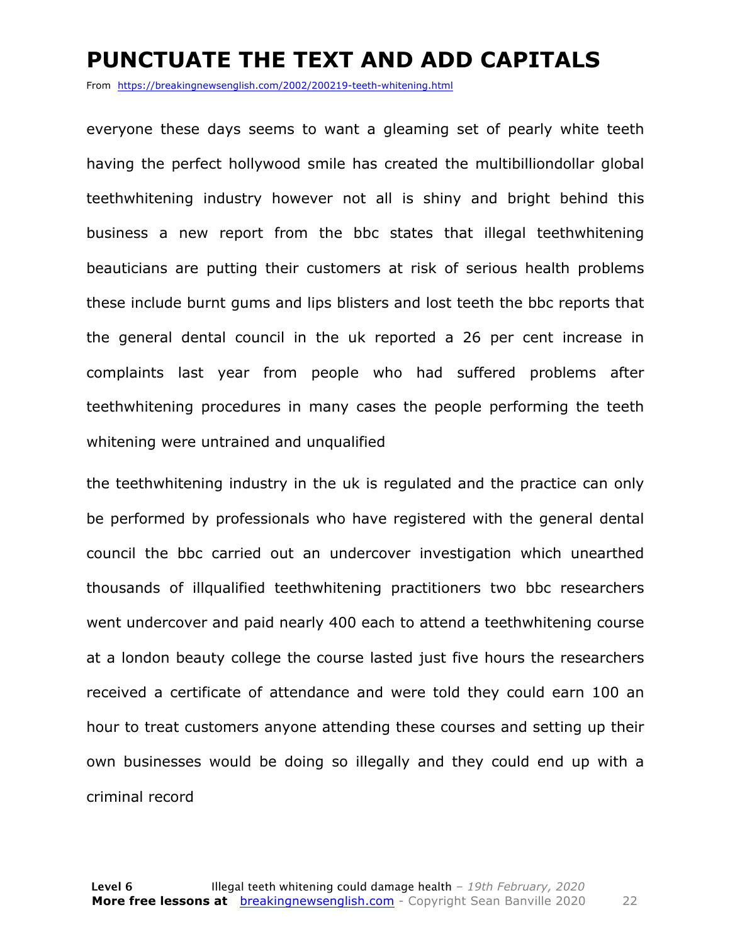#### **PUNCTUATE THE TEXT AND ADD CAPITALS**

From https://breakingnewsenglish.com/2002/200219-teeth-whitening.html

everyone these days seems to want a gleaming set of pearly white teeth having the perfect hollywood smile has created the multibilliondollar global teethwhitening industry however not all is shiny and bright behind this business a new report from the bbc states that illegal teethwhitening beauticians are putting their customers at risk of serious health problems these include burnt gums and lips blisters and lost teeth the bbc reports that the general dental council in the uk reported a 26 per cent increase in complaints last year from people who had suffered problems after teethwhitening procedures in many cases the people performing the teeth whitening were untrained and unqualified

the teethwhitening industry in the uk is regulated and the practice can only be performed by professionals who have registered with the general dental council the bbc carried out an undercover investigation which unearthed thousands of illqualified teethwhitening practitioners two bbc researchers went undercover and paid nearly 400 each to attend a teethwhitening course at a london beauty college the course lasted just five hours the researchers received a certificate of attendance and were told they could earn 100 an hour to treat customers anyone attending these courses and setting up their own businesses would be doing so illegally and they could end up with a criminal record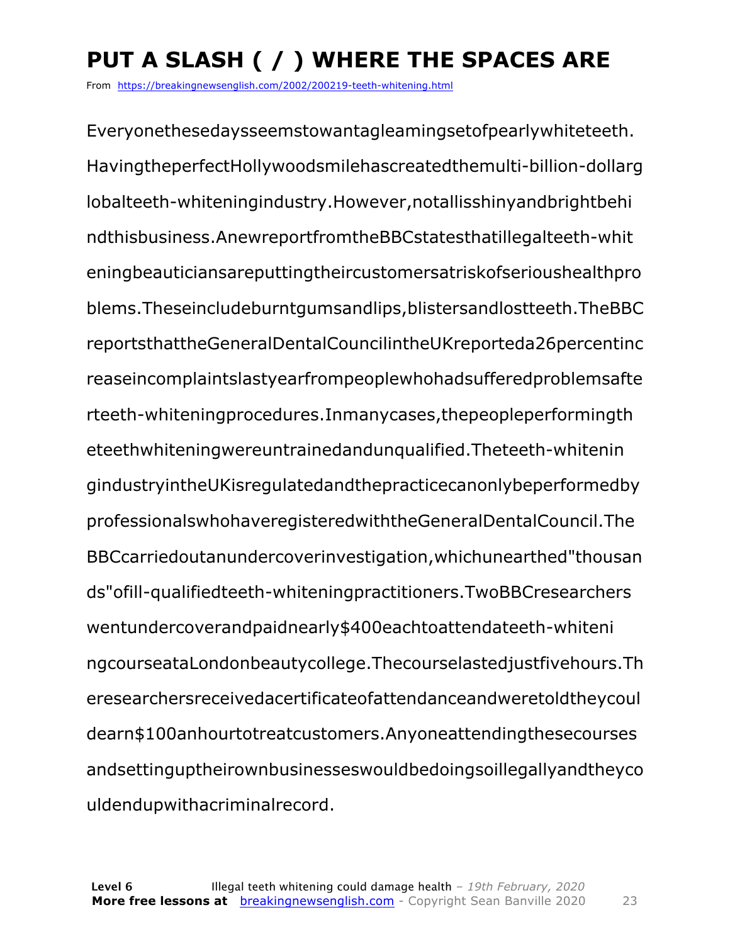## **PUT A SLASH ( / ) WHERE THE SPACES ARE**

From https://breakingnewsenglish.com/2002/200219-teeth-whitening.html

Everyonethesedaysseemstowantagleamingsetofpearlywhiteteeth. HavingtheperfectHollywoodsmilehascreatedthemulti-billion-dollarg lobalteeth-whiteningindustry.However,notallisshinyandbrightbehi ndthisbusiness.AnewreportfromtheBBCstatesthatillegalteeth-whit eningbeauticiansareputtingtheircustomersatriskofserioushealthpro blems.Theseincludeburntgumsandlips,blistersandlostteeth.TheBBC reportsthattheGeneralDentalCouncilintheUKreporteda26percentinc reaseincomplaintslastyearfrompeoplewhohadsufferedproblemsafte rteeth-whiteningprocedures.Inmanycases,thepeopleperformingth eteethwhiteningwereuntrainedandunqualified.Theteeth-whitenin gindustryintheUKisregulatedandthepracticecanonlybeperformedby professionalswhohaveregisteredwiththeGeneralDentalCouncil.The BBCcarriedoutanundercoverinvestigation,whichunearthed"thousan ds"ofill-qualifiedteeth-whiteningpractitioners.TwoBBCresearchers wentundercoverandpaidnearly\$400eachtoattendateeth-whiteni ngcourseataLondonbeautycollege.Thecourselastedjustfivehours.Th eresearchersreceivedacertificateofattendanceandweretoldtheycoul dearn\$100anhourtotreatcustomers.Anyoneattendingthesecourses andsettinguptheirownbusinesseswouldbedoingsoillegallyandtheyco uldendupwithacriminalrecord.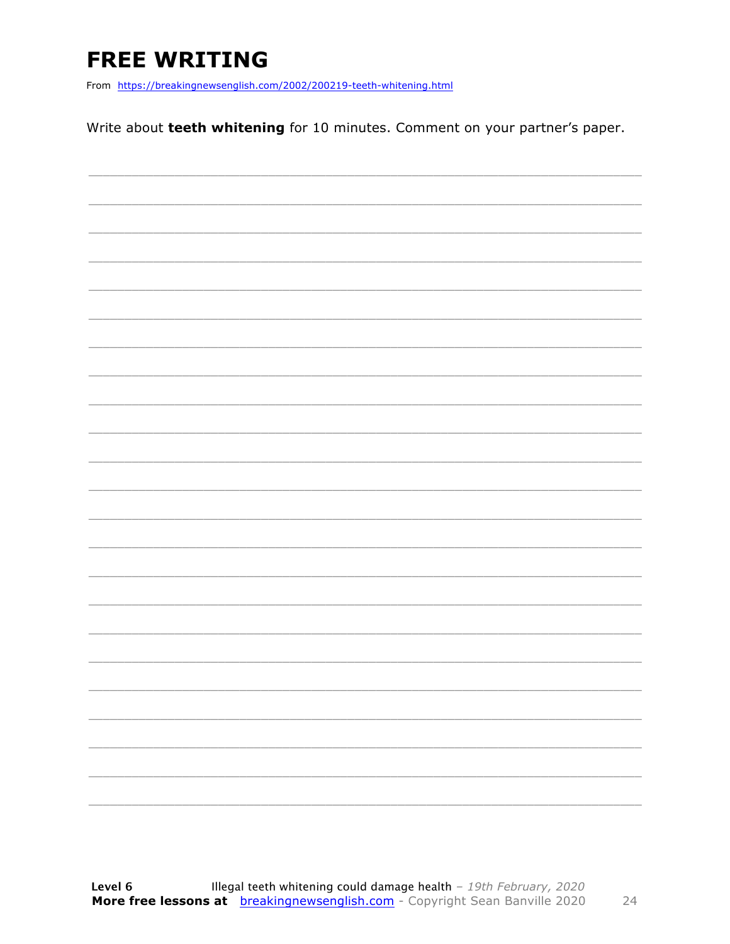### **FREE WRITING**

From https://breakingnewsenglish.com/2002/200219-teeth-whitening.html

Write about teeth whitening for 10 minutes. Comment on your partner's paper.

|                          | $\overbrace{\hspace{25mm}}^{}$ |
|--------------------------|--------------------------------|
|                          |                                |
|                          | $\overline{\phantom{a}}$       |
|                          |                                |
|                          |                                |
|                          |                                |
| $\overline{\phantom{a}}$ |                                |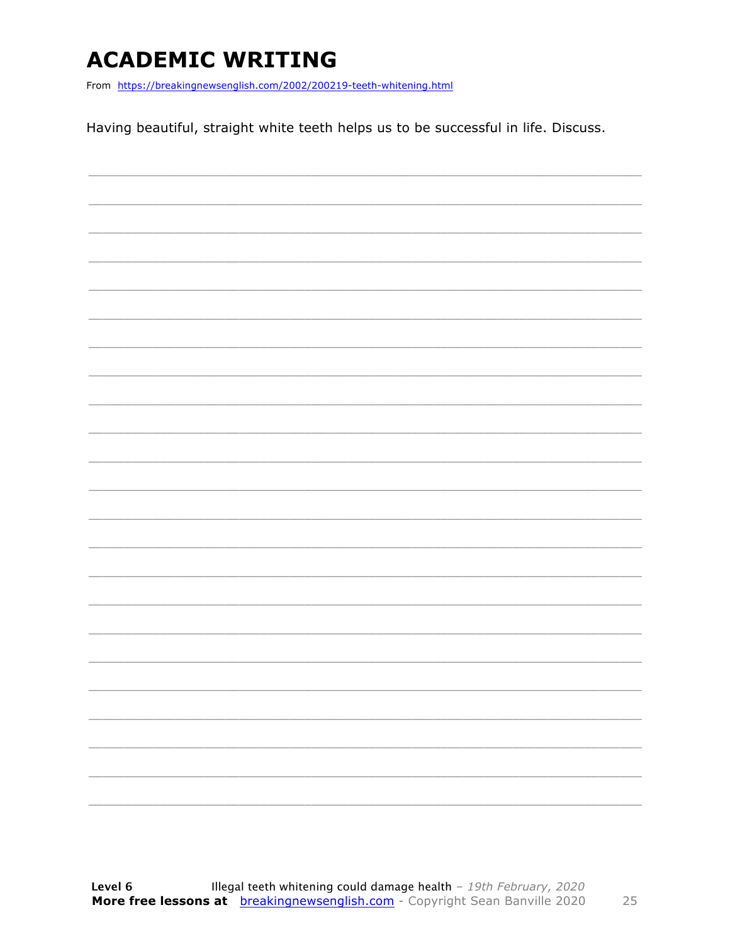### **ACADEMIC WRITING**

From https://breakingnewsenglish.com/2002/200219-teeth-whitening.html

Having beautiful, straight white teeth helps us to be successful in life. Discuss.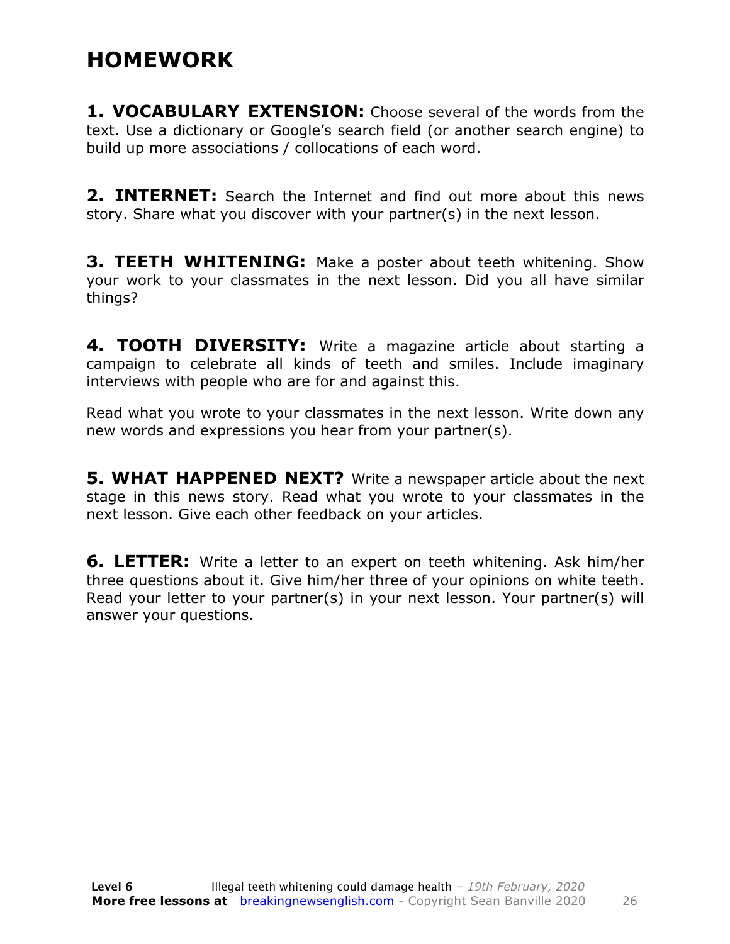#### **HOMEWORK**

**1. VOCABULARY EXTENSION:** Choose several of the words from the text. Use a dictionary or Google's search field (or another search engine) to build up more associations / collocations of each word.

**2. INTERNET:** Search the Internet and find out more about this news story. Share what you discover with your partner(s) in the next lesson.

**3. TEETH WHITENING:** Make a poster about teeth whitening. Show your work to your classmates in the next lesson. Did you all have similar things?

**4. TOOTH DIVERSITY:** Write a magazine article about starting a campaign to celebrate all kinds of teeth and smiles. Include imaginary interviews with people who are for and against this.

Read what you wrote to your classmates in the next lesson. Write down any new words and expressions you hear from your partner(s).

**5. WHAT HAPPENED NEXT?** Write a newspaper article about the next stage in this news story. Read what you wrote to your classmates in the next lesson. Give each other feedback on your articles.

**6. LETTER:** Write a letter to an expert on teeth whitening. Ask him/her three questions about it. Give him/her three of your opinions on white teeth. Read your letter to your partner(s) in your next lesson. Your partner(s) will answer your questions.